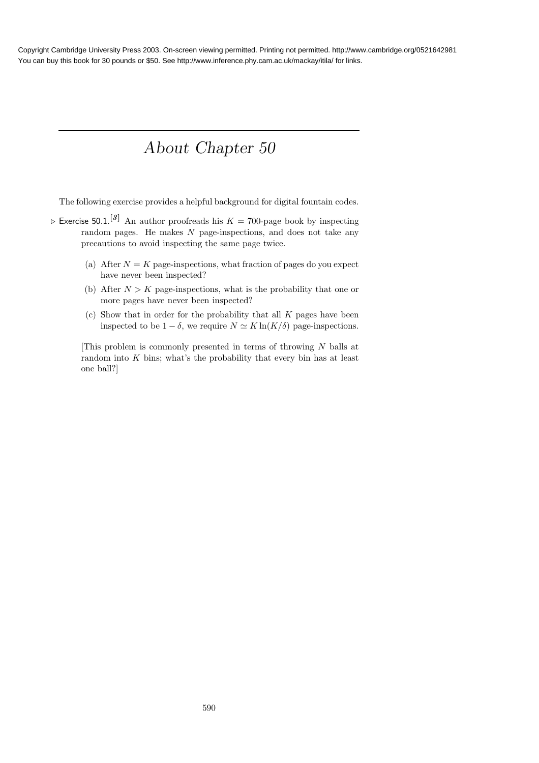# About Chapter 50

The following exercise provides a helpful background for digital fountain codes.

- $\triangleright$  Exercise 50.1.<sup>[3]</sup> An author proofreads his  $K = 700$ -page book by inspecting random pages. He makes N page-inspections, and does not take any precautions to avoid inspecting the same page twice.
	- (a) After  $N = K$  page-inspections, what fraction of pages do you expect have never been inspected?
	- (b) After  $N > K$  page-inspections, what is the probability that one or more pages have never been inspected?
	- (c) Show that in order for the probability that all  $K$  pages have been inspected to be  $1 - \delta$ , we require  $N \simeq K \ln(K/\delta)$  page-inspections.

[This problem is commonly presented in terms of throwing N balls at random into  $K$  bins; what's the probability that every bin has at least one ball?]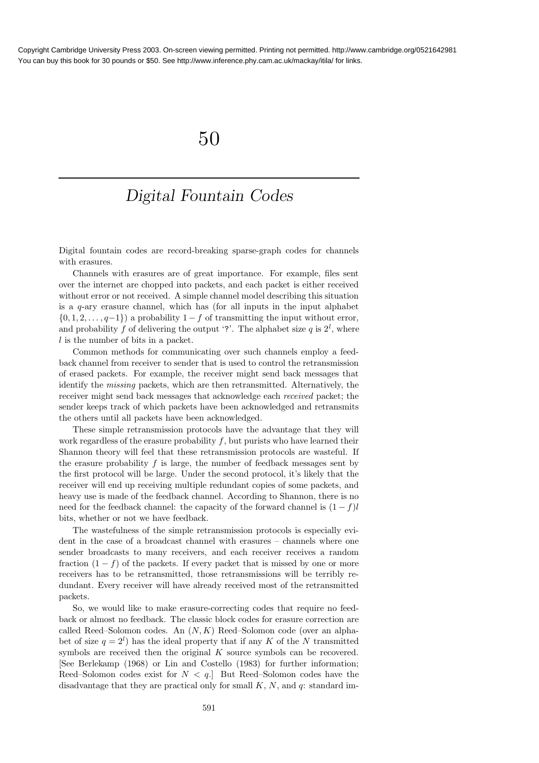## 50

# Digital Fountain Codes

Digital fountain codes are record-breaking sparse-graph codes for channels with erasures.

Channels with erasures are of great importance. For example, files sent over the internet are chopped into packets, and each packet is either received without error or not received. A simple channel model describing this situation is a  $q$ -ary erasure channel, which has (for all inputs in the input alphabet  $\{0, 1, 2, \ldots, q-1\}$  a probability  $1 - f$  of transmitting the input without error, and probability f of delivering the output '?'. The alphabet size q is  $2^l$ , where l is the number of bits in a packet.

Common methods for communicating over such channels employ a feedback channel from receiver to sender that is used to control the retransmission of erased packets. For example, the receiver might send back messages that identify the missing packets, which are then retransmitted. Alternatively, the receiver might send back messages that acknowledge each received packet; the sender keeps track of which packets have been acknowledged and retransmits the others until all packets have been acknowledged.

These simple retransmission protocols have the advantage that they will work regardless of the erasure probability  $f$ , but purists who have learned their Shannon theory will feel that these retransmission protocols are wasteful. If the erasure probability  $f$  is large, the number of feedback messages sent by the first protocol will be large. Under the second protocol, it's likely that the receiver will end up receiving multiple redundant copies of some packets, and heavy use is made of the feedback channel. According to Shannon, there is no need for the feedback channel: the capacity of the forward channel is  $(1 - f)l$ bits, whether or not we have feedback.

The wastefulness of the simple retransmission protocols is especially evident in the case of a broadcast channel with erasures – channels where one sender broadcasts to many receivers, and each receiver receives a random fraction  $(1 - f)$  of the packets. If every packet that is missed by one or more receivers has to be retransmitted, those retransmissions will be terribly redundant. Every receiver will have already received most of the retransmitted packets.

So, we would like to make erasure-correcting codes that require no feedback or almost no feedback. The classic block codes for erasure correction are called Reed–Solomon codes. An  $(N, K)$  Reed–Solomon code (over an alphabet of size  $q = 2^l$ ) has the ideal property that if any K of the N transmitted symbols are received then the original  $K$  source symbols can be recovered. [See Berlekamp (1968) or Lin and Costello (1983) for further information; Reed–Solomon codes exist for  $N < q$ . But Reed–Solomon codes have the disadvantage that they are practical only for small  $K$ ,  $N$ , and  $q$ : standard im-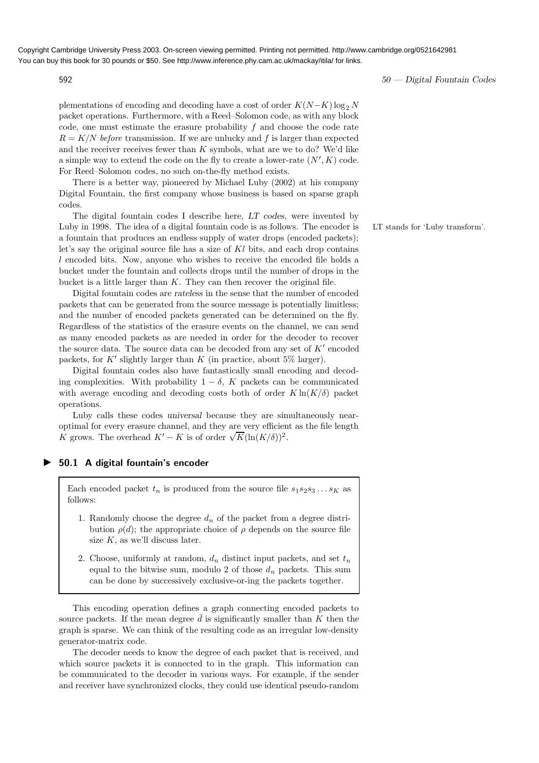### $592$   $50$  — Digital Fountain Codes

plementations of encoding and decoding have a cost of order  $K(N-K)\log_2 N$ packet operations. Furthermore, with a Reed–Solomon code, as with any block code, one must estimate the erasure probability  $f$  and choose the code rate  $R = K/N$  before transmission. If we are unlucky and f is larger than expected and the receiver receives fewer than  $K$  symbols, what are we to do? We'd like a simple way to extend the code on the fly to create a lower-rate  $(N', K)$  code. For Reed–Solomon codes, no such on-the-fly method exists.

There is a better way, pioneered by Michael Luby (2002) at his company Digital Fountain, the first company whose business is based on sparse graph codes.

The digital fountain codes I describe here, LT codes, were invented by Luby in 1998. The idea of a digital fountain code is as follows. The encoder is LT stands for 'Luby transform'. a fountain that produces an endless supply of water drops (encoded packets); let's say the original source file has a size of  $Kl$  bits, and each drop contains l encoded bits. Now, anyone who wishes to receive the encoded file holds a bucket under the fountain and collects drops until the number of drops in the bucket is a little larger than  $K$ . They can then recover the original file.

Digital fountain codes are rateless in the sense that the number of encoded packets that can be generated from the source message is potentially limitless; and the number of encoded packets generated can be determined on the fly. Regardless of the statistics of the erasure events on the channel, we can send as many encoded packets as are needed in order for the decoder to recover the source data. The source data can be decoded from any set of  $K'$  encoded packets, for K' slightly larger than K (in practice, about  $5\%$  larger).

Digital fountain codes also have fantastically small encoding and decoding complexities. With probability  $1 - \delta$ , K packets can be communicated with average encoding and decoding costs both of order  $K \ln(K/\delta)$  packet operations.

Luby calls these codes universal because they are simultaneously nearoptimal for every erasure channel, and they are very efficient as the file length K grows. The overhead  $K' - K$  is of order  $\sqrt{K}(\ln(K/\delta))^2$ .

▶ 50.1 A digital fountain's encoder

Each encoded packet  $t_n$  is produced from the source file  $s_1s_2s_3 \ldots s_K$  as follows:

- 1. Randomly choose the degree  $d_n$  of the packet from a degree distribution  $\rho(d)$ ; the appropriate choice of  $\rho$  depends on the source file size  $K$ , as we'll discuss later.
- 2. Choose, uniformly at random,  $d_n$  distinct input packets, and set  $t_n$ equal to the bitwise sum, modulo 2 of those  $d_n$  packets. This sum can be done by successively exclusive-or-ing the packets together.

This encoding operation defines a graph connecting encoded packets to source packets. If the mean degree  $\bar{d}$  is significantly smaller than K then the graph is sparse. We can think of the resulting code as an irregular low-density generator-matrix code.

The decoder needs to know the degree of each packet that is received, and which source packets it is connected to in the graph. This information can be communicated to the decoder in various ways. For example, if the sender and receiver have synchronized clocks, they could use identical pseudo-random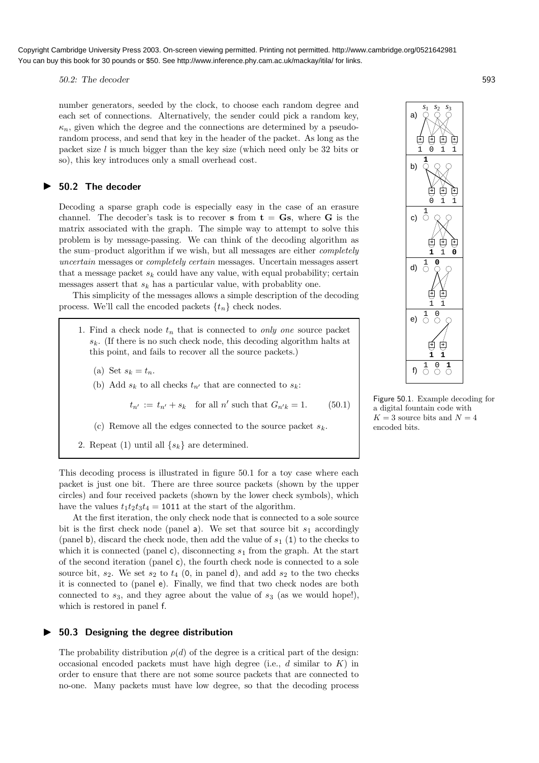50.2: The decoder 593

number generators, seeded by the clock, to choose each random degree and each set of connections. Alternatively, the sender could pick a random key,  $\kappa_n$ , given which the degree and the connections are determined by a pseudorandom process, and send that key in the header of the packet. As long as the packet size  $l$  is much bigger than the key size (which need only be 32 bits or so), this key introduces only a small overhead cost.

## ▶ 50.2 The decoder

Decoding a sparse graph code is especially easy in the case of an erasure channel. The decoder's task is to recover s from  $t = Gs$ , where G is the matrix associated with the graph. The simple way to attempt to solve this problem is by message-passing. We can think of the decoding algorithm as the sum–product algorithm if we wish, but all messages are either completely uncertain messages or completely certain messages. Uncertain messages assert that a message packet  $s_k$  could have any value, with equal probability; certain messages assert that  $s_k$  has a particular value, with probability one.

This simplicity of the messages allows a simple description of the decoding process. We'll call the encoded packets  $\{t_n\}$  check nodes.

- 1. Find a check node  $t_n$  that is connected to *only one* source packet  $s_k$ . (If there is no such check node, this decoding algorithm halts at this point, and fails to recover all the source packets.)
	- (a) Set  $s_k = t_n$ .
	- (b) Add  $s_k$  to all checks  $t_{n'}$  that are connected to  $s_k$ :

 $t_{n'} := t_{n'} + s_k$  for all n' such that  $G_{n'k} = 1.$  (50.1)

(c) Remove all the edges connected to the source packet  $s_k$ .

2. Repeat (1) until all  $\{s_k\}$  are determined.

This decoding process is illustrated in figure 50.1 for a toy case where each packet is just one bit. There are three source packets (shown by the upper circles) and four received packets (shown by the lower check symbols), which have the values  $t_1t_2t_3t_4 = 1011$  at the start of the algorithm.

At the first iteration, the only check node that is connected to a sole source bit is the first check node (panel a). We set that source bit  $s_1$  accordingly (panel b), discard the check node, then add the value of  $s_1$  (1) to the checks to which it is connected (panel c), disconnecting  $s_1$  from the graph. At the start of the second iteration (panel c), the fourth check node is connected to a sole source bit,  $s_2$ . We set  $s_2$  to  $t_4$  (0, in panel d), and add  $s_2$  to the two checks it is connected to (panel e). Finally, we find that two check nodes are both connected to  $s_3$ , and they agree about the value of  $s_3$  (as we would hope!), which is restored in panel f.

#### ▶ 50.3 Designing the degree distribution

The probability distribution  $\rho(d)$  of the degree is a critical part of the design: occasional encoded packets must have high degree (i.e.,  $d$  similar to  $K$ ) in order to ensure that there are not some source packets that are connected to no-one. Many packets must have low degree, so that the decoding process



Figure 50.1. Example decoding for a digital fountain code with  $K = 3$  source bits and  $N = 4$ encoded bits.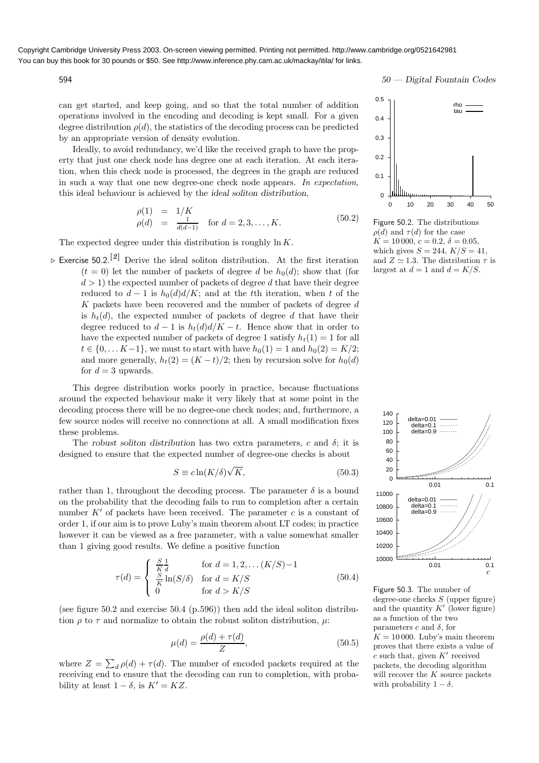594 50 — Digital Fountain Codes

can get started, and keep going, and so that the total number of addition operations involved in the encoding and decoding is kept small. For a given degree distribution  $\rho(d)$ , the statistics of the decoding process can be predicted by an appropriate version of density evolution.

Ideally, to avoid redundancy, we'd like the received graph to have the property that just one check node has degree one at each iteration. At each iteration, when this check node is processed, the degrees in the graph are reduced in such a way that one new degree-one check node appears. In expectation, this ideal behaviour is achieved by the ideal soliton distribution,

$$
\begin{array}{rcl}\n\rho(1) & = & 1/K \\
\rho(d) & = & \frac{1}{d(d-1)} \quad \text{for } d = 2, 3, \dots, K.\n\end{array}\n\tag{50.2}
$$

The expected degree under this distribution is roughly  $\ln K$ .

 $\triangleright$  Exercise 50.2.<sup>[2]</sup> Derive the ideal soliton distribution. At the first iteration  $(t = 0)$  let the number of packets of degree d be  $h_0(d)$ ; show that (for  $d > 1$ ) the expected number of packets of degree d that have their degree reduced to  $d-1$  is  $h_0(d)d/K$ ; and at the tth iteration, when t of the K packets have been recovered and the number of packets of degree d is  $h_t(d)$ , the expected number of packets of degree d that have their degree reduced to  $d-1$  is  $h_t(d)d/K-t$ . Hence show that in order to have the expected number of packets of degree 1 satisfy  $h_t(1) = 1$  for all  $t \in \{0, ..., K-1\}$ , we must to start with have  $h_0(1) = 1$  and  $h_0(2) = K/2$ ; and more generally,  $h_t(2) = (K - t)/2$ ; then by recursion solve for  $h_0(d)$ for  $d = 3$  upwards.

This degree distribution works poorly in practice, because fluctuations around the expected behaviour make it very likely that at some point in the decoding process there will be no degree-one check nodes; and, furthermore, a few source nodes will receive no connections at all. A small modification fixes these problems.

The robust soliton distribution has two extra parameters, c and  $\delta$ ; it is designed to ensure that the expected number of degree-one checks is about

$$
S \equiv c \ln(K/\delta) \sqrt{K},\tag{50.3}
$$

rather than 1, throughout the decoding process. The parameter  $\delta$  is a bound on the probability that the decoding fails to run to completion after a certain number  $K'$  of packets have been received. The parameter c is a constant of order 1, if our aim is to prove Luby's main theorem about LT codes; in practice however it can be viewed as a free parameter, with a value somewhat smaller than 1 giving good results. We define a positive function

$$
\tau(d) = \begin{cases} \frac{S}{K} \frac{1}{d} & \text{for } d = 1, 2, \dots (K/S) - 1\\ \frac{S}{K} \ln(S/\delta) & \text{for } d = K/S\\ 0 & \text{for } d > K/S \end{cases} \tag{50.4}
$$

(see figure 50.2 and exercise 50.4 (p.596)) then add the ideal soliton distribution  $\rho$  to  $\tau$  and normalize to obtain the robust soliton distribution,  $\mu$ .

$$
\mu(d) = \frac{\rho(d) + \tau(d)}{Z},\tag{50.5}
$$

where  $Z = \sum_d \rho(d) + \tau(d)$ . The number of encoded packets required at the receiving end to ensure that the decoding can run to completion, with probability at least  $1 - \delta$ , is  $K' = KZ$ .



Figure 50.2. The distributions  $\rho(d)$  and  $\tau(d)$  for the case  $K = 10000, c = 0.2, \delta = 0.05,$ which gives  $S = 244$ ,  $K/S = 41$ , and  $Z \simeq 1.3$ . The distribution  $\tau$  is largest at  $d = 1$  and  $d = K/S$ .



Figure 50.3. The number of degree-one checks  $S$  (upper figure) and the quantity  $K'$  (lower figure) as a function of the two parameters c and  $\delta$ , for  $K = 10000$ . Luby's main theorem proves that there exists a value of c such that, given  $K'$  received packets, the decoding algorithm will recover the  $K$  source packets with probability  $1 - \delta$ .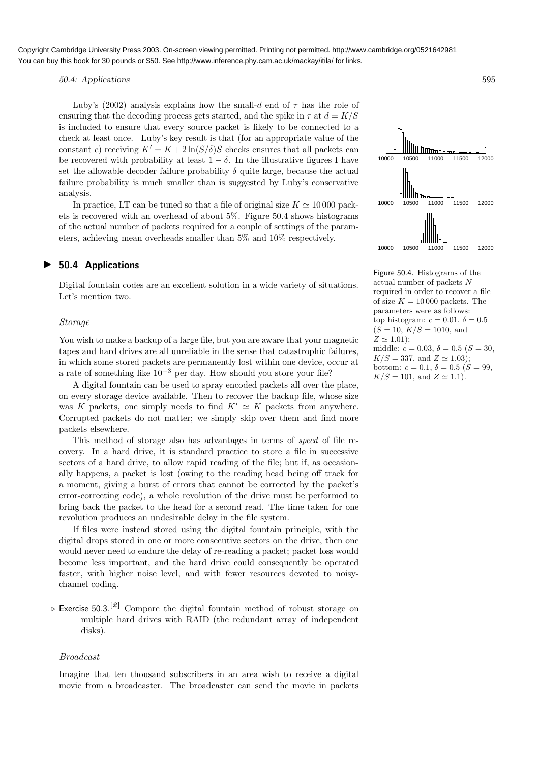50.4: Applications 595

Luby's (2002) analysis explains how the small-d end of  $\tau$  has the role of ensuring that the decoding process gets started, and the spike in  $\tau$  at  $d = K/S$ is included to ensure that every source packet is likely to be connected to a check at least once. Luby's key result is that (for an appropriate value of the constant c) receiving  $K' = K + 2 \ln(S/\delta)S$  checks ensures that all packets can be recovered with probability at least  $1 - \delta$ . In the illustrative figures I have set the allowable decoder failure probability  $\delta$  quite large, because the actual failure probability is much smaller than is suggested by Luby's conservative analysis.

In practice, LT can be tuned so that a file of original size  $K \simeq 10000$  packets is recovered with an overhead of about 5%. Figure 50.4 shows histograms of the actual number of packets required for a couple of settings of the parameters, achieving mean overheads smaller than 5% and 10% respectively.

#### ▶ 50.4 Applications

Digital fountain codes are an excellent solution in a wide variety of situations. Let's mention two.

#### Storage

You wish to make a backup of a large file, but you are aware that your magnetic tapes and hard drives are all unreliable in the sense that catastrophic failures, in which some stored packets are permanently lost within one device, occur at a rate of something like 10−<sup>3</sup> per day. How should you store your file?

A digital fountain can be used to spray encoded packets all over the place, on every storage device available. Then to recover the backup file, whose size was K packets, one simply needs to find  $K' \simeq K$  packets from anywhere. Corrupted packets do not matter; we simply skip over them and find more packets elsewhere.

This method of storage also has advantages in terms of speed of file recovery. In a hard drive, it is standard practice to store a file in successive sectors of a hard drive, to allow rapid reading of the file; but if, as occasionally happens, a packet is lost (owing to the reading head being off track for a moment, giving a burst of errors that cannot be corrected by the packet's error-correcting code), a whole revolution of the drive must be performed to bring back the packet to the head for a second read. The time taken for one revolution produces an undesirable delay in the file system.

If files were instead stored using the digital fountain principle, with the digital drops stored in one or more consecutive sectors on the drive, then one would never need to endure the delay of re-reading a packet; packet loss would become less important, and the hard drive could consequently be operated faster, with higher noise level, and with fewer resources devoted to noisychannel coding.

 $\triangleright$  Exercise 50.3.<sup>[2]</sup> Compare the digital fountain method of robust storage on multiple hard drives with RAID (the redundant array of independent disks).

#### Broadcast

Imagine that ten thousand subscribers in an area wish to receive a digital movie from a broadcaster. The broadcaster can send the movie in packets



Figure 50.4. Histograms of the actual number of packets N required in order to recover a file of size  $K = 10000$  packets. The parameters were as follows: top histogram:  $c = 0.01$ ,  $\delta = 0.5$  $(S = 10, K/S = 1010, \text{ and})$  $Z \simeq 1.01$ ; middle:  $c = 0.03$ ,  $\delta = 0.5$   $(S = 30)$ ,  $K/S = 337$ , and  $Z \simeq 1.03$ ); bottom:  $c = 0.1, \delta = 0.5$   $(S = 99,$ 

 $K/S = 101$ , and  $Z \simeq 1.1$ ).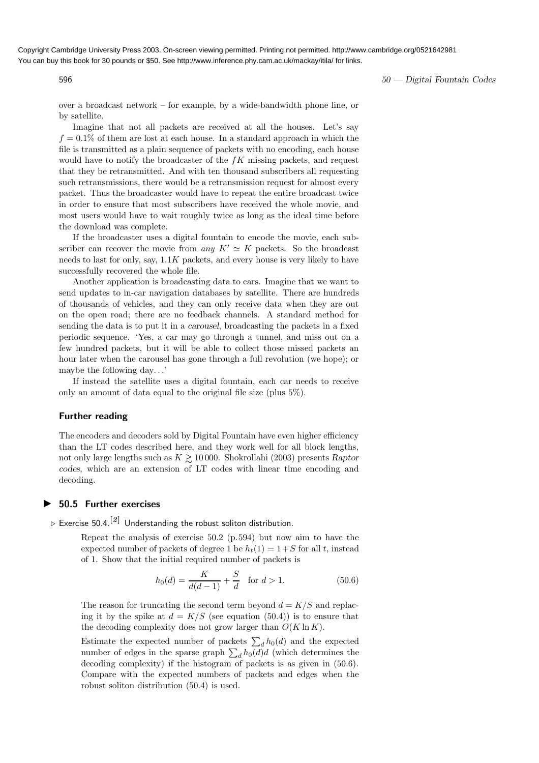$596$   $50$  — Digital Fountain Codes

over a broadcast network – for example, by a wide-bandwidth phone line, or by satellite.

Imagine that not all packets are received at all the houses. Let's say  $f = 0.1\%$  of them are lost at each house. In a standard approach in which the file is transmitted as a plain sequence of packets with no encoding, each house would have to notify the broadcaster of the  $fK$  missing packets, and request that they be retransmitted. And with ten thousand subscribers all requesting such retransmissions, there would be a retransmission request for almost every packet. Thus the broadcaster would have to repeat the entire broadcast twice in order to ensure that most subscribers have received the whole movie, and most users would have to wait roughly twice as long as the ideal time before the download was complete.

If the broadcaster uses a digital fountain to encode the movie, each subscriber can recover the movie from any  $K' \simeq K$  packets. So the broadcast needs to last for only, say,  $1.1K$  packets, and every house is very likely to have successfully recovered the whole file.

Another application is broadcasting data to cars. Imagine that we want to send updates to in-car navigation databases by satellite. There are hundreds of thousands of vehicles, and they can only receive data when they are out on the open road; there are no feedback channels. A standard method for sending the data is to put it in a carousel, broadcasting the packets in a fixed periodic sequence. 'Yes, a car may go through a tunnel, and miss out on a few hundred packets, but it will be able to collect those missed packets an hour later when the carousel has gone through a full revolution (we hope); or maybe the following day. . .'

If instead the satellite uses a digital fountain, each car needs to receive only an amount of data equal to the original file size (plus 5%).

#### Further reading

The encoders and decoders sold by Digital Fountain have even higher efficiency than the LT codes described here, and they work well for all block lengths, not only large lengths such as  $K \gtrsim 10000$ . Shokrollahi (2003) presents Raptor codes, which are an extension of LT codes with linear time encoding and decoding.

## 50.5 Further exercises

 $\triangleright$  Exercise 50.4.<sup>[2]</sup> Understanding the robust soliton distribution.

Repeat the analysis of exercise 50.2 (p.594) but now aim to have the expected number of packets of degree 1 be  $h_t(1) = 1 + S$  for all t, instead of 1. Show that the initial required number of packets is

$$
h_0(d) = \frac{K}{d(d-1)} + \frac{S}{d} \quad \text{for } d > 1.
$$
 (50.6)

The reason for truncating the second term beyond  $d = K/S$  and replacing it by the spike at  $d = K/S$  (see equation (50.4)) is to ensure that the decoding complexity does not grow larger than  $O(K \ln K)$ .

Estimate the expected number of packets  $\sum_d h_0(d)$  and the expected number of edges in the sparse graph  $\sum_{d} h_0(d) d$  (which determines the decoding complexity) if the histogram of packets is as given in (50.6). Compare with the expected numbers of packets and edges when the robust soliton distribution (50.4) is used.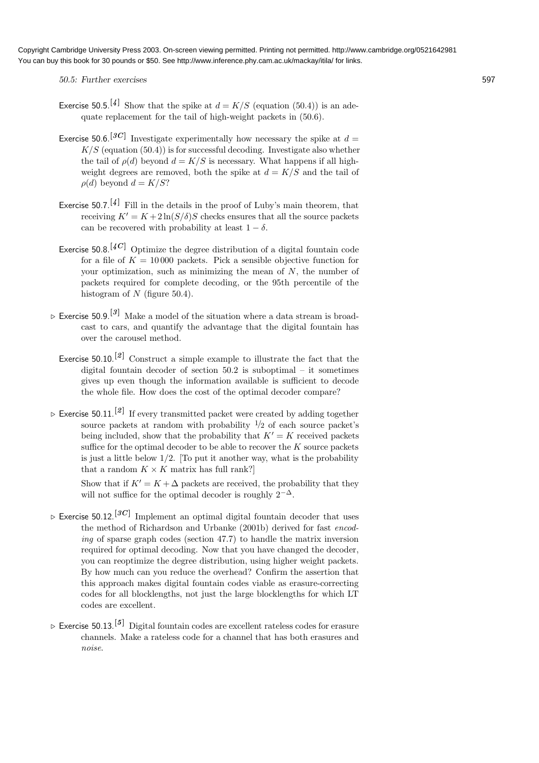50.5: Further exercises 597

- Exercise 50.5.<sup>[4]</sup> Show that the spike at  $d = K/S$  (equation (50.4)) is an adequate replacement for the tail of high-weight packets in  $(50.6)$ .
- Exercise 50.6.<sup>[3C]</sup> Investigate experimentally how necessary the spike at  $d =$  $K/S$  (equation (50.4)) is for successful decoding. Investigate also whether the tail of  $\rho(d)$  beyond  $d = K/S$  is necessary. What happens if all highweight degrees are removed, both the spike at  $d = K/S$  and the tail of  $\rho(d)$  beyond  $d = K/S$ ?
- Exercise  $50.7$ .<sup>[4]</sup> Fill in the details in the proof of Luby's main theorem, that receiving  $K' = K + 2 \ln(S/\delta)S$  checks ensures that all the source packets can be recovered with probability at least  $1 - \delta$ .
- Exercise 50.8.<sup>[4C]</sup> Optimize the degree distribution of a digital fountain code for a file of  $K = 10000$  packets. Pick a sensible objective function for your optimization, such as minimizing the mean of  $N$ , the number of packets required for complete decoding, or the 95th percentile of the histogram of  $N$  (figure 50.4).
- $\triangleright$  Exercise 50.9.<sup>[3]</sup> Make a model of the situation where a data stream is broadcast to cars, and quantify the advantage that the digital fountain has over the carousel method.
	- Exercise 50.10.<sup>[2]</sup> Construct a simple example to illustrate the fact that the digital fountain decoder of section 50.2 is suboptimal – it sometimes gives up even though the information available is sufficient to decode the whole file. How does the cost of the optimal decoder compare?
- $\triangleright$  Exercise 50.11.<sup>[2]</sup> If every transmitted packet were created by adding together source packets at random with probability  $\frac{1}{2}$  of each source packet's being included, show that the probability that  $K' = K$  received packets suffice for the optimal decoder to be able to recover the  $K$  source packets is just a little below  $1/2$ . [To put it another way, what is the probability that a random  $K \times K$  matrix has full rank?

Show that if  $K' = K + \Delta$  packets are received, the probability that they will not suffice for the optimal decoder is roughly  $2^{-\Delta}$ .

- $\triangleright$  Exercise 50.12.  $^{[\mathcal{3}C]}$  Implement an optimal digital fountain decoder that uses the method of Richardson and Urbanke (2001b) derived for fast encoding of sparse graph codes (section 47.7) to handle the matrix inversion required for optimal decoding. Now that you have changed the decoder, you can reoptimize the degree distribution, using higher weight packets. By how much can you reduce the overhead? Confirm the assertion that this approach makes digital fountain codes viable as erasure-correcting codes for all blocklengths, not just the large blocklengths for which LT codes are excellent.
- $\triangleright$  Exercise 50.13.<sup>[5]</sup> Digital fountain codes are excellent rateless codes for erasure channels. Make a rateless code for a channel that has both erasures and noise.